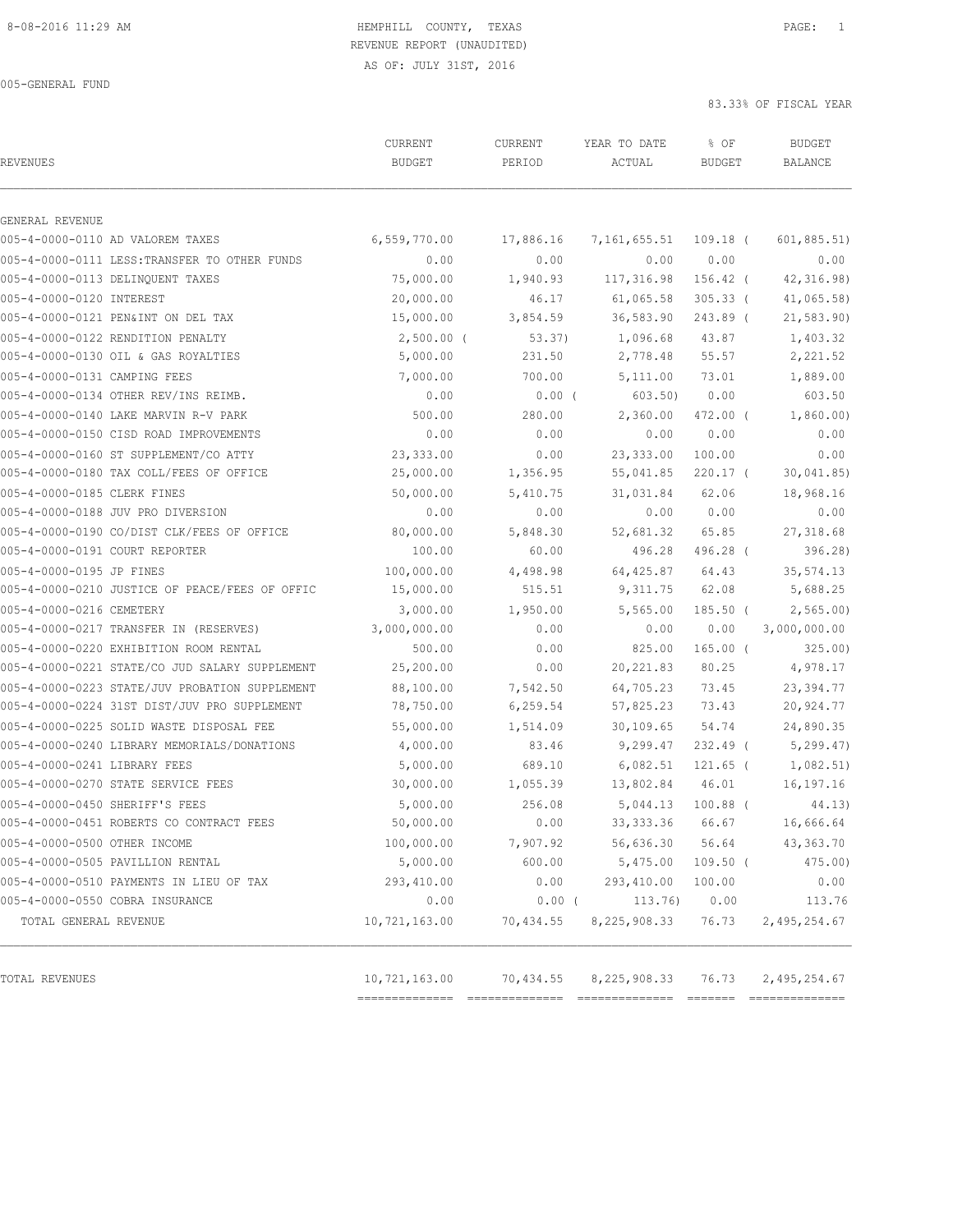AS OF: JULY 31ST, 2016

005-GENERAL FUND

83.33% OF FISCAL YEAR

| REVENUES                                       | CURRENT<br><b>BUDGET</b> | CURRENT<br>PERIOD | YEAR TO DATE<br>ACTUAL | % OF<br><b>BUDGET</b> | <b>BUDGET</b><br>BALANCE |
|------------------------------------------------|--------------------------|-------------------|------------------------|-----------------------|--------------------------|
| GENERAL REVENUE                                |                          |                   |                        |                       |                          |
| 005-4-0000-0110 AD VALOREM TAXES               | 6,559,770.00             | 17,886.16         | 7,161,655.51           | $109.18$ (            | 601, 885.51              |
| 005-4-0000-0111 LESS: TRANSFER TO OTHER FUNDS  | 0.00                     | 0.00              | 0.00                   | 0.00                  | 0.00                     |
| 005-4-0000-0113 DELINQUENT TAXES               | 75,000.00                | 1,940.93          | 117,316.98             | 156.42 (              | 42,316.98                |
| 005-4-0000-0120 INTEREST                       | 20,000.00                | 46.17             | 61,065.58              | $305.33$ (            | 41,065.58                |
| 005-4-0000-0121 PEN&INT ON DEL TAX             | 15,000.00                | 3,854.59          | 36,583.90              | 243.89 (              | 21, 583.90               |
| 005-4-0000-0122 RENDITION PENALTY              | $2,500.00$ (             | 53.37)            | 1,096.68               | 43.87                 | 1,403.32                 |
| 005-4-0000-0130 OIL & GAS ROYALTIES            | 5,000.00                 | 231.50            | 2,778.48               | 55.57                 | 2,221.52                 |
| 005-4-0000-0131 CAMPING FEES                   | 7,000.00                 | 700.00            | 5,111.00               | 73.01                 | 1,889.00                 |
| 005-4-0000-0134 OTHER REV/INS REIMB.           | 0.00                     | $0.00$ (          | 603.50)                | 0.00                  | 603.50                   |
| 005-4-0000-0140 LAKE MARVIN R-V PARK           | 500.00                   | 280.00            | 2,360.00               | 472.00 (              | 1,860.00)                |
| 005-4-0000-0150 CISD ROAD IMPROVEMENTS         | 0.00                     | 0.00              | 0.00                   | 0.00                  | 0.00                     |
| 005-4-0000-0160 ST SUPPLEMENT/CO ATTY          | 23,333.00                | 0.00              | 23, 333.00             | 100.00                | 0.00                     |
| 005-4-0000-0180 TAX COLL/FEES OF OFFICE        | 25,000.00                | 1,356.95          | 55,041.85              | $220.17$ (            | 30,041.85                |
| 005-4-0000-0185 CLERK FINES                    | 50,000.00                | 5,410.75          | 31,031.84              | 62.06                 | 18,968.16                |
| 005-4-0000-0188 JUV PRO DIVERSION              | 0.00                     | 0.00              | 0.00                   | 0.00                  | 0.00                     |
| 005-4-0000-0190 CO/DIST CLK/FEES OF OFFICE     | 80,000.00                | 5,848.30          | 52,681.32              | 65.85                 | 27,318.68                |
| 005-4-0000-0191 COURT REPORTER                 | 100.00                   | 60.00             | 496.28                 | 496.28 (              | 396.28)                  |
| 005-4-0000-0195 JP FINES                       | 100,000.00               | 4,498.98          | 64,425.87              | 64.43                 | 35, 574.13               |
| 005-4-0000-0210 JUSTICE OF PEACE/FEES OF OFFIC | 15,000.00                | 515.51            | 9,311.75               | 62.08                 | 5,688.25                 |
| 005-4-0000-0216 CEMETERY                       | 3,000.00                 | 1,950.00          | 5,565.00               | $185.50$ (            | 2,565.00                 |
| 005-4-0000-0217 TRANSFER IN (RESERVES)         | 3,000,000.00             | 0.00              | 0.00                   | 0.00                  | 3,000,000.00             |
| 005-4-0000-0220 EXHIBITION ROOM RENTAL         | 500.00                   | 0.00              | 825.00                 | $165.00$ (            | 325.00                   |
| 005-4-0000-0221 STATE/CO JUD SALARY SUPPLEMENT | 25,200.00                | 0.00              | 20, 221.83             | 80.25                 | 4,978.17                 |
| 005-4-0000-0223 STATE/JUV PROBATION SUPPLEMENT | 88,100.00                | 7,542.50          | 64,705.23              | 73.45                 | 23, 394.77               |
| 005-4-0000-0224 31ST DIST/JUV PRO SUPPLEMENT   | 78,750.00                | 6, 259.54         | 57,825.23              | 73.43                 | 20,924.77                |
| 005-4-0000-0225 SOLID WASTE DISPOSAL FEE       | 55,000.00                | 1,514.09          | 30,109.65              | 54.74                 | 24,890.35                |
| 005-4-0000-0240 LIBRARY MEMORIALS/DONATIONS    | 4,000.00                 | 83.46             | 9,299.47               | 232.49 (              | 5, 299.47                |
| 005-4-0000-0241 LIBRARY FEES                   | 5,000.00                 | 689.10            | 6,082.51               | $121.65$ (            | 1,082.51)                |
| 005-4-0000-0270 STATE SERVICE FEES             | 30,000.00                | 1,055.39          | 13,802.84              | 46.01                 | 16,197.16                |
| 005-4-0000-0450 SHERIFF'S FEES                 | 5,000.00                 | 256.08            | 5,044.13               | $100.88$ (            | 44.13)                   |
| 005-4-0000-0451 ROBERTS CO CONTRACT FEES       | 50,000.00                | 0.00              | 33, 333.36 66.67       |                       | 16,666.64                |
| 005-4-0000-0500 OTHER INCOME                   | 100,000.00               | 7,907.92          | 56,636.30              | 56.64                 | 43,363.70                |
| 005-4-0000-0505 PAVILLION RENTAL               | 5,000.00                 | 600.00            | 5,475.00               | $109.50$ (            | 475.00)                  |
| 005-4-0000-0510 PAYMENTS IN LIEU OF TAX        | 293,410.00               | 0.00              | 293, 410.00            | 100.00                | 0.00                     |
| 005-4-0000-0550 COBRA INSURANCE                | 0.00                     | $0.00$ (          | 113.76)                | 0.00                  | 113.76                   |
| TOTAL GENERAL REVENUE                          | 10,721,163.00            | 70,434.55         | 8,225,908.33           | 76.73                 | 2,495,254.67             |
| TOTAL REVENUES                                 | 10,721,163.00            | 70,434.55         | 8,225,908.33           | 76.73                 | 2, 495, 254.67           |

============== ============== ============== ======= ==============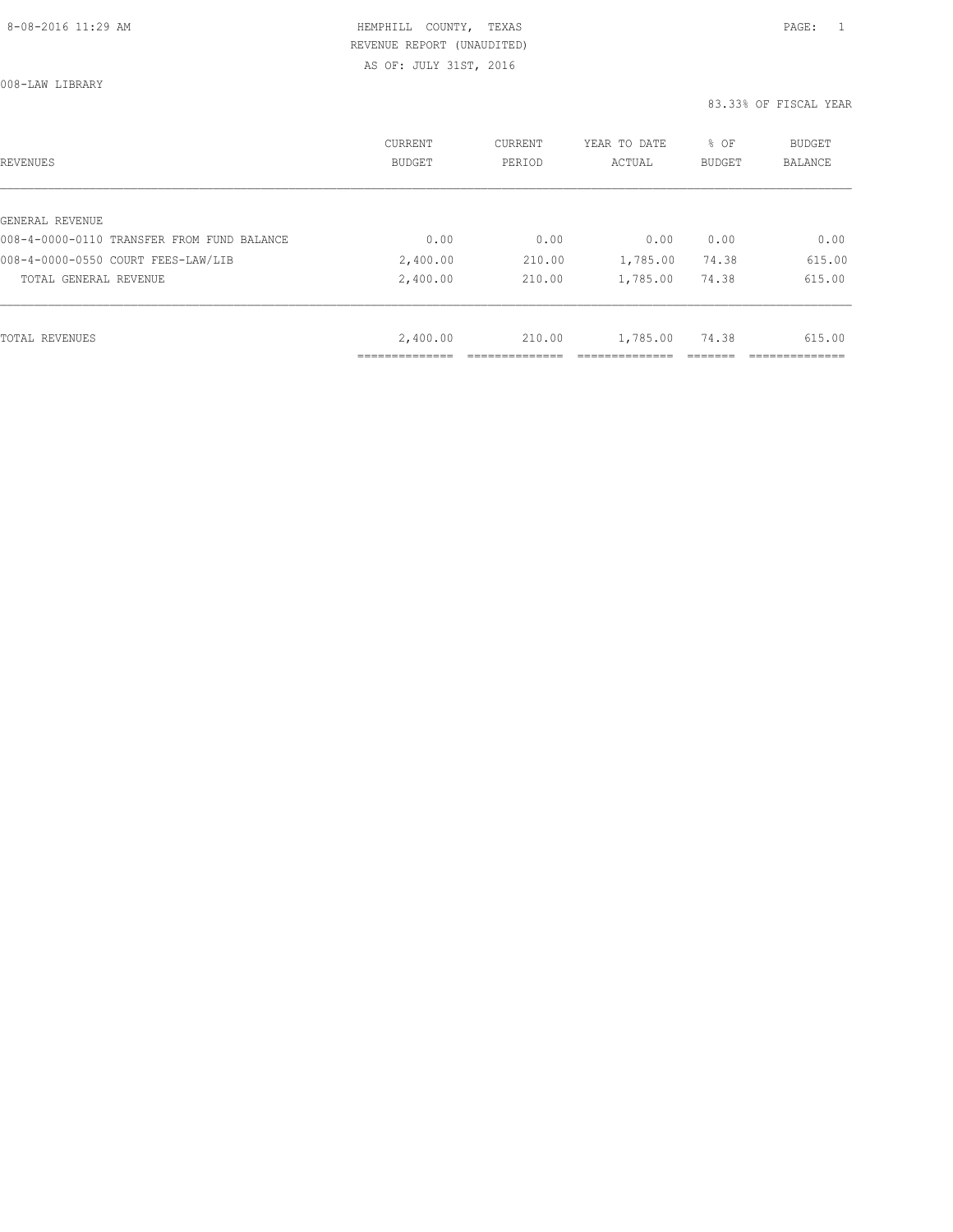AS OF: JULY 31ST, 2016

008-LAW LIBRARY

| REVENUES                                   | CURRENT<br><b>BUDGET</b> | CURRENT<br>PERIOD | YEAR TO DATE<br>ACTUAL | % OF<br>BUDGET | BUDGET<br><b>BALANCE</b> |
|--------------------------------------------|--------------------------|-------------------|------------------------|----------------|--------------------------|
|                                            |                          |                   |                        |                |                          |
| GENERAL REVENUE                            |                          |                   |                        |                |                          |
| 008-4-0000-0110 TRANSFER FROM FUND BALANCE | 0.00                     | 0.00              | 0.00                   | 0.00           | 0.00                     |
| 008-4-0000-0550 COURT FEES-LAW/LIB         | 2,400.00                 | 210.00            | 1,785.00               | 74.38          | 615.00                   |
| TOTAL GENERAL REVENUE                      | 2,400.00                 | 210.00            | 1,785.00               | 74.38          | 615.00                   |
|                                            |                          |                   |                        |                |                          |
| TOTAL REVENUES                             | 2,400.00                 | 210.00            | 1,785.00               | 74.38          | 615.00                   |
|                                            |                          |                   |                        |                |                          |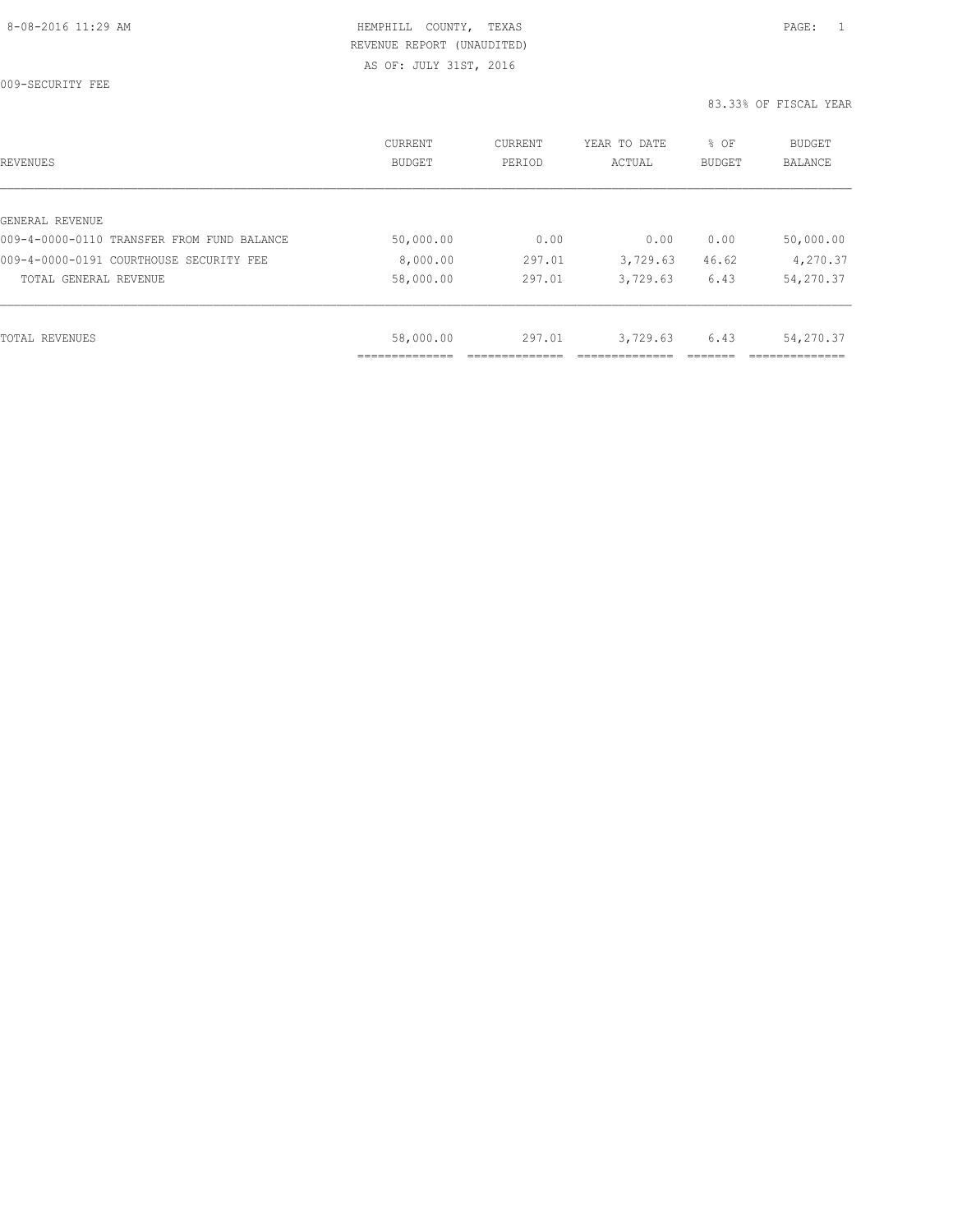009-SECURITY FEE

| REVENUES                                   | CURRENT<br><b>BUDGET</b> | CURRENT<br>PERIOD | YEAR TO DATE<br>ACTUAL | % OF<br>BUDGET | <b>BUDGET</b><br><b>BALANCE</b> |
|--------------------------------------------|--------------------------|-------------------|------------------------|----------------|---------------------------------|
|                                            |                          |                   |                        |                |                                 |
| GENERAL REVENUE                            |                          |                   |                        |                |                                 |
| 009-4-0000-0110 TRANSFER FROM FUND BALANCE | 50,000.00                | 0.00              | 0.00                   | 0.00           | 50,000.00                       |
| 009-4-0000-0191 COURTHOUSE SECURITY FEE    | 8,000.00                 | 297.01            | 3,729.63               | 46.62          | 4,270.37                        |
| TOTAL GENERAL REVENUE                      | 58,000.00                | 297.01            | 3,729.63               | 6.43           | 54,270.37                       |
|                                            |                          |                   |                        |                |                                 |
| TOTAL REVENUES                             | 58,000.00                | 297.01            | 3,729.63               | 6.43           | 54,270.37                       |
|                                            |                          |                   |                        |                |                                 |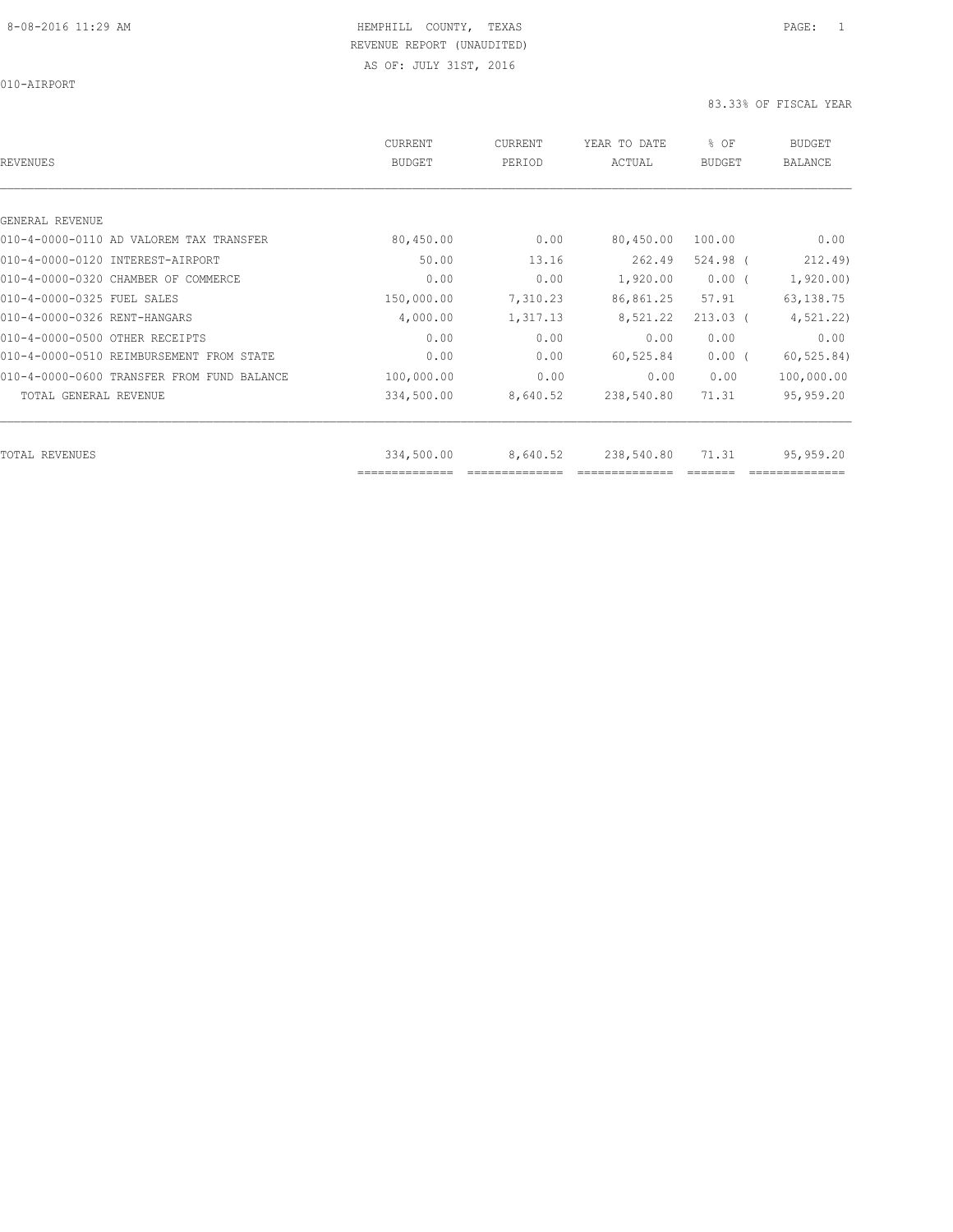010-AIRPORT

| <b>REVENUES</b>                            | <b>CURRENT</b><br><b>BUDGET</b> | CURRENT<br>PERIOD | YEAR TO DATE<br>ACTUAL | % OF<br><b>BUDGET</b> | <b>BUDGET</b><br><b>BALANCE</b> |
|--------------------------------------------|---------------------------------|-------------------|------------------------|-----------------------|---------------------------------|
|                                            |                                 |                   |                        |                       |                                 |
| GENERAL REVENUE                            |                                 |                   |                        |                       |                                 |
| 010-4-0000-0110 AD VALOREM TAX TRANSFER    | 80,450.00                       | 0.00              | 80,450.00              | 100.00                | 0.00                            |
| 010-4-0000-0120 INTEREST-AIRPORT           | 50.00                           | 13.16             | 262.49                 | 524.98 (              | 212.49                          |
| 010-4-0000-0320 CHAMBER OF COMMERCE        | 0.00                            | 0.00              | 1,920.00               | $0.00$ (              | 1,920.00                        |
| 010-4-0000-0325 FUEL SALES                 | 150,000.00                      | 7,310.23          | 86,861.25              | 57.91                 | 63, 138.75                      |
| 010-4-0000-0326 RENT-HANGARS               | 4,000.00                        | 1,317.13          | 8,521.22               | $213.03$ (            | 4, 521.22)                      |
| 010-4-0000-0500 OTHER RECEIPTS             | 0.00                            | 0.00              | 0.00                   | 0.00                  | 0.00                            |
| 010-4-0000-0510 REIMBURSEMENT FROM STATE   | 0.00                            | 0.00              | 60,525.84              | $0.00$ (              | 60, 525.84)                     |
| 010-4-0000-0600 TRANSFER FROM FUND BALANCE | 100,000.00                      | 0.00              | 0.00                   | 0.00                  | 100,000.00                      |
| TOTAL GENERAL REVENUE                      | 334,500.00                      | 8,640.52          | 238,540.80             | 71.31                 | 95,959.20                       |
| <b>TOTAL REVENUES</b>                      | 334,500.00                      | 8,640.52          | 238,540.80             | 71.31                 | 95,959.20                       |
|                                            | ==============                  |                   |                        |                       |                                 |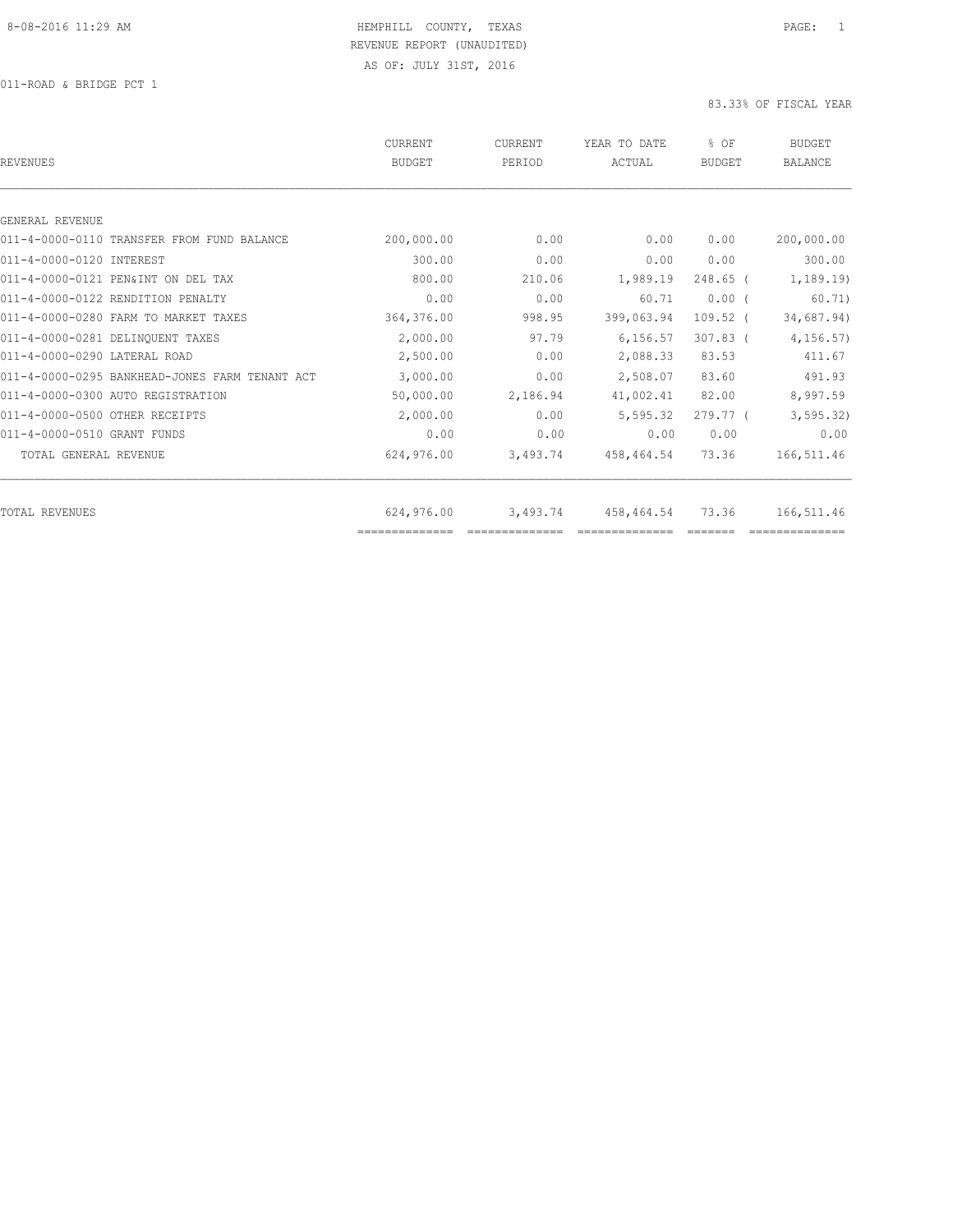| <b>REVENUES</b>                                | CURRENT<br><b>BUDGET</b> | <b>CURRENT</b><br>PERIOD | YEAR TO DATE<br>ACTUAL | % OF<br><b>BUDGET</b> | <b>BUDGET</b><br><b>BALANCE</b> |
|------------------------------------------------|--------------------------|--------------------------|------------------------|-----------------------|---------------------------------|
|                                                |                          |                          |                        |                       |                                 |
| GENERAL REVENUE                                |                          |                          |                        |                       |                                 |
| 011-4-0000-0110 TRANSFER FROM FUND BALANCE     | 200,000.00               | 0.00                     | 0.00                   | 0.00                  | 200,000.00                      |
| 011-4-0000-0120 INTEREST                       | 300.00                   | 0.00                     | 0.00                   | 0.00                  | 300.00                          |
| 011-4-0000-0121 PEN&INT ON DEL TAX             | 800.00                   | 210.06                   | 1,989.19               | $248.65$ (            | 1, 189.19                       |
| 011-4-0000-0122 RENDITION PENALTY              | 0.00                     | 0.00                     | 60.71                  | $0.00$ (              | 60.71)                          |
| 011-4-0000-0280 FARM TO MARKET TAXES           | 364,376.00               | 998.95                   | 399,063.94             | $109.52$ (            | 34,687.94)                      |
| 011-4-0000-0281 DELINOUENT TAXES               | 2,000.00                 | 97.79                    | 6, 156.57              | $307.83$ (            | 4, 156.57                       |
| 011-4-0000-0290 LATERAL ROAD                   | 2,500.00                 | 0.00                     | 2,088.33               | 83.53                 | 411.67                          |
| 011-4-0000-0295 BANKHEAD-JONES FARM TENANT ACT | 3,000.00                 | 0.00                     | 2,508.07               | 83.60                 | 491.93                          |
| 011-4-0000-0300 AUTO REGISTRATION              | 50,000.00                | 2,186.94                 | 41,002.41              | 82.00                 | 8,997.59                        |
| 011-4-0000-0500 OTHER RECEIPTS                 | 2,000.00                 | 0.00                     | 5,595.32               | 279.77 <sup>0</sup>   | 3, 595.32)                      |
| 011-4-0000-0510 GRANT FUNDS                    | 0.00                     | 0.00                     | 0.00                   | 0.00                  | 0.00                            |
| TOTAL GENERAL REVENUE                          | 624,976.00               | 3,493.74                 | 458,464.54             | 73.36                 | 166,511.46                      |
| <b>TOTAL REVENUES</b>                          | 624,976.00               | 3,493.74                 | 458,464.54             | 73.36                 | 166,511.46                      |
|                                                | ==============           |                          |                        |                       |                                 |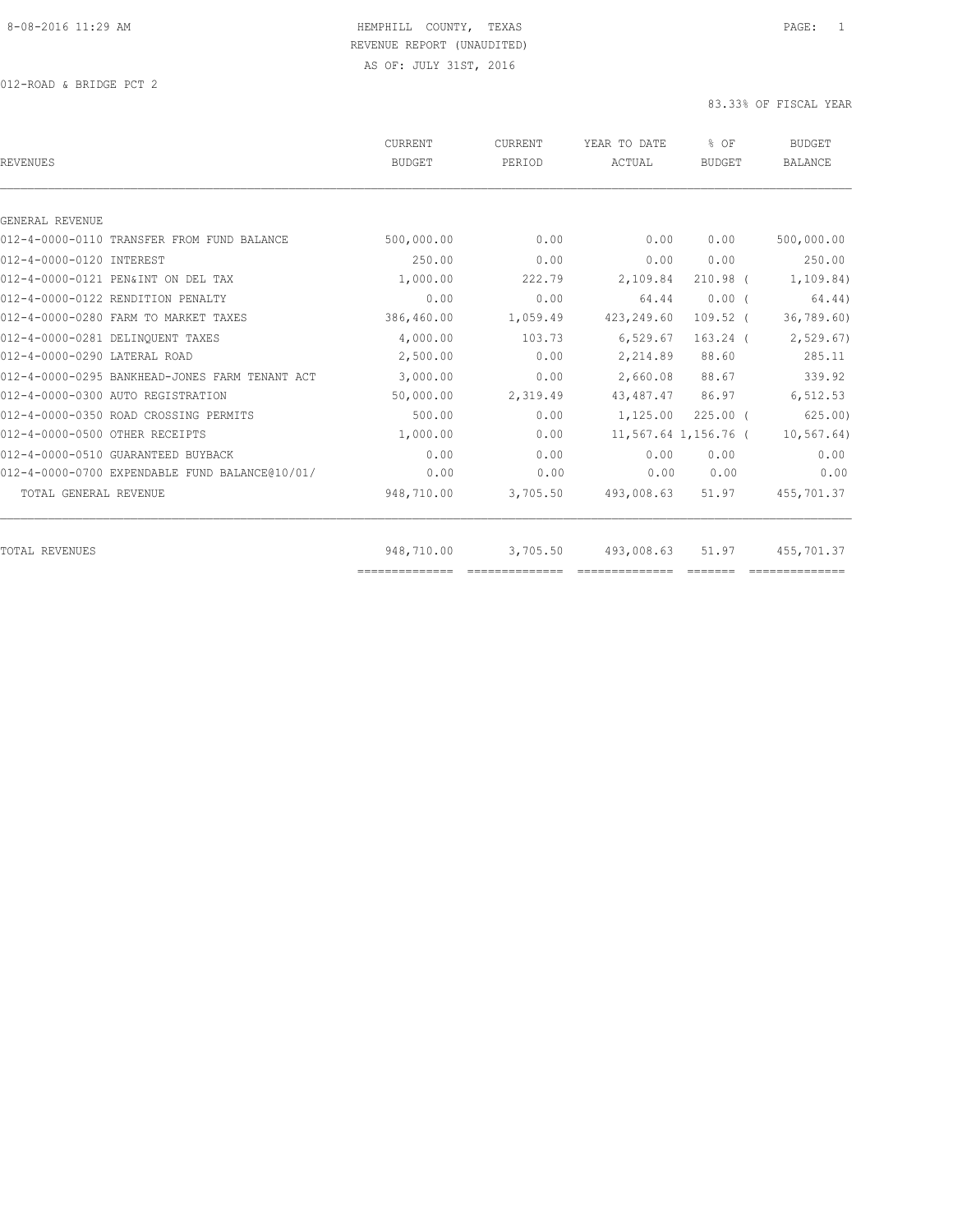| <b>REVENUES</b>                                | <b>CURRENT</b><br><b>BUDGET</b> | <b>CURRENT</b><br>PERIOD | YEAR TO DATE<br>ACTUAL | % OF<br><b>BUDGET</b> | <b>BUDGET</b><br><b>BALANCE</b> |
|------------------------------------------------|---------------------------------|--------------------------|------------------------|-----------------------|---------------------------------|
| GENERAL REVENUE                                |                                 |                          |                        |                       |                                 |
| 012-4-0000-0110 TRANSFER FROM FUND BALANCE     | 500,000.00                      | 0.00                     | 0.00                   | 0.00                  | 500,000.00                      |
| 012-4-0000-0120 INTEREST                       | 250.00                          | 0.00                     | 0.00                   | 0.00                  | 250.00                          |
| 012-4-0000-0121 PEN&INT ON DEL TAX             | 1,000.00                        | 222.79                   | 2,109.84               | $210.98$ (            | 1, 109.84)                      |
| 012-4-0000-0122 RENDITION PENALTY              | 0.00                            | 0.00                     | 64.44                  | 0.00(                 | 64.44)                          |
| 012-4-0000-0280 FARM TO MARKET TAXES           | 386,460.00                      | 1,059.49                 | 423,249.60             | $109.52$ (            | 36, 789.60                      |
| 012-4-0000-0281 DELINQUENT TAXES               | 4,000.00                        | 103.73                   | 6,529.67               | $163.24$ (            | 2,529.67                        |
| 012-4-0000-0290 LATERAL ROAD                   | 2,500.00                        | 0.00                     | 2,214.89               | 88.60                 | 285.11                          |
| 012-4-0000-0295 BANKHEAD-JONES FARM TENANT ACT | 3,000.00                        | 0.00                     | 2,660.08               | 88.67                 | 339.92                          |
| 012-4-0000-0300 AUTO REGISTRATION              | 50,000.00                       | 2,319.49                 | 43,487.47              | 86.97                 | 6,512.53                        |
| 012-4-0000-0350 ROAD CROSSING PERMITS          | 500.00                          | 0.00                     | 1,125.00               | $225.00$ $($          | 625.00                          |
| 012-4-0000-0500 OTHER RECEIPTS                 | 1,000.00                        | 0.00                     |                        | 11,567.64 1,156.76 (  | 10, 567.64)                     |
| 012-4-0000-0510 GUARANTEED BUYBACK             | 0.00                            | 0.00                     | 0.00                   | 0.00                  | 0.00                            |
| 012-4-0000-0700 EXPENDABLE FUND BALANCE@10/01/ | 0.00                            | 0.00                     | 0.00                   | 0.00                  | 0.00                            |
| TOTAL GENERAL REVENUE                          | 948,710.00                      | 3,705.50                 | 493,008.63             | 51.97                 | 455,701.37                      |
| <b>TOTAL REVENUES</b>                          | 948,710.00                      | 3,705.50                 | 493,008.63             | 51.97                 | 455,701.37                      |
|                                                | ==============                  |                          |                        |                       |                                 |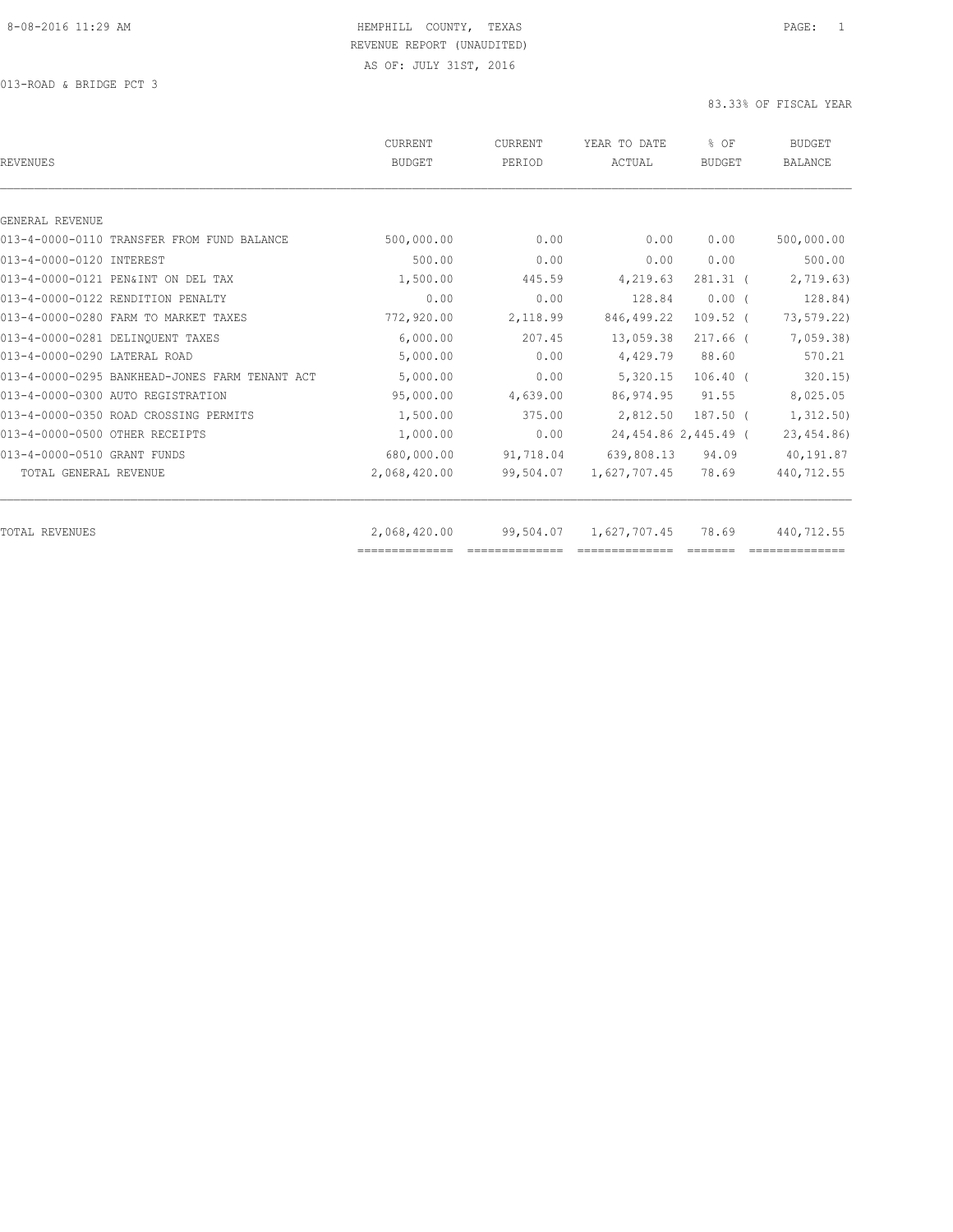| <b>REVENUES</b>                                | <b>CURRENT</b><br><b>BUDGET</b> | CURRENT<br>PERIOD | YEAR TO DATE<br>ACTUAL | % OF<br><b>BUDGET</b> | <b>BUDGET</b><br><b>BALANCE</b> |
|------------------------------------------------|---------------------------------|-------------------|------------------------|-----------------------|---------------------------------|
|                                                |                                 |                   |                        |                       |                                 |
| GENERAL REVENUE                                |                                 |                   |                        |                       |                                 |
| 013-4-0000-0110 TRANSFER FROM FUND BALANCE     | 500,000.00                      | 0.00              | 0.00                   | 0.00                  | 500,000.00                      |
| 013-4-0000-0120 INTEREST                       | 500.00                          | 0.00              | 0.00                   | 0.00                  | 500.00                          |
| 013-4-0000-0121 PEN&INT ON DEL TAX             | 1,500.00                        | 445.59            | 4,219.63               | $281.31$ (            | 2,719.63)                       |
| 013-4-0000-0122 RENDITION PENALTY              | 0.00                            | 0.00              | 128.84                 | 0.00(                 | 128.84)                         |
| 013-4-0000-0280 FARM TO MARKET TAXES           | 772,920.00                      | 2,118.99          | 846,499.22             | $109.52$ (            | 73,579.22)                      |
| 013-4-0000-0281 DELINQUENT TAXES               | 6,000.00                        | 207.45            | 13,059.38              | $217.66$ (            | 7,059.38                        |
| 013-4-0000-0290 LATERAL ROAD                   | 5,000.00                        | 0.00              | 4,429.79               | 88.60                 | 570.21                          |
| 013-4-0000-0295 BANKHEAD-JONES FARM TENANT ACT | 5,000.00                        | 0.00              | 5,320.15               | $106.40$ (            | 320.15)                         |
| 013-4-0000-0300 AUTO REGISTRATION              | 95,000.00                       | 4,639.00          | 86,974.95              | 91.55                 | 8,025.05                        |
| 013-4-0000-0350 ROAD CROSSING PERMITS          | 1,500.00                        | 375.00            | 2,812.50               | $187.50$ $($          | 1,312.50)                       |
| 013-4-0000-0500 OTHER RECEIPTS                 | 1,000.00                        | 0.00              |                        | 24,454.86 2,445.49 (  | 23, 454.86)                     |
| 013-4-0000-0510 GRANT FUNDS                    | 680,000.00                      | 91,718.04         | 639,808.13             | 94.09                 | 40,191.87                       |
| TOTAL GENERAL REVENUE                          | 2,068,420.00                    | 99,504.07         | 1,627,707.45           | 78.69                 | 440,712.55                      |
| <b>TOTAL REVENUES</b>                          | 2,068,420.00                    | 99,504.07         | 1,627,707.45           | 78.69                 | 440,712.55                      |
|                                                | ==============                  |                   |                        |                       |                                 |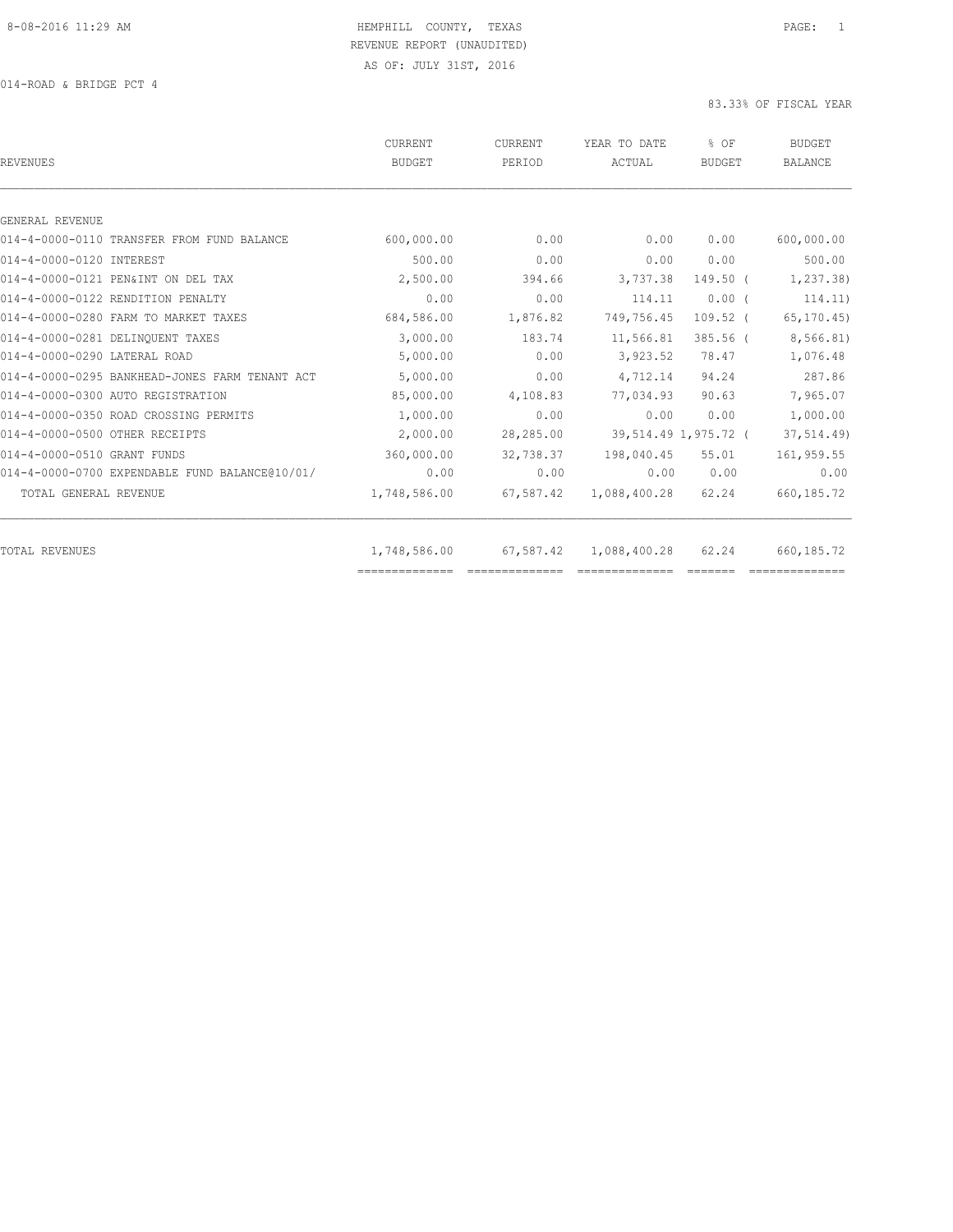| <b>REVENUES</b>                                | CURRENT<br><b>BUDGET</b> | <b>CURRENT</b><br>PERIOD                                                                                                                                                                                                                                                                                                                                                                                                                                                                     | YEAR TO DATE<br>ACTUAL | $8$ OF<br><b>BUDGET</b> | <b>BUDGET</b><br><b>BALANCE</b> |
|------------------------------------------------|--------------------------|----------------------------------------------------------------------------------------------------------------------------------------------------------------------------------------------------------------------------------------------------------------------------------------------------------------------------------------------------------------------------------------------------------------------------------------------------------------------------------------------|------------------------|-------------------------|---------------------------------|
|                                                |                          |                                                                                                                                                                                                                                                                                                                                                                                                                                                                                              |                        |                         |                                 |
| GENERAL REVENUE                                |                          |                                                                                                                                                                                                                                                                                                                                                                                                                                                                                              |                        |                         |                                 |
| 014-4-0000-0110 TRANSFER FROM FUND BALANCE     | 600,000.00               | 0.00                                                                                                                                                                                                                                                                                                                                                                                                                                                                                         | 0.00                   | 0.00                    | 600,000.00                      |
| 014-4-0000-0120 INTEREST                       | 500.00                   | 0.00                                                                                                                                                                                                                                                                                                                                                                                                                                                                                         | 0.00                   | 0.00                    | 500.00                          |
| 014-4-0000-0121 PEN&INT ON DEL TAX             | 2,500.00                 | 394.66                                                                                                                                                                                                                                                                                                                                                                                                                                                                                       | 3,737.38               | $149.50$ (              | 1, 237.38                       |
| 014-4-0000-0122 RENDITION PENALTY              | 0.00                     | 0.00                                                                                                                                                                                                                                                                                                                                                                                                                                                                                         | 114.11                 | $0.00$ (                | 114.11)                         |
| 014-4-0000-0280 FARM TO MARKET TAXES           | 684,586.00               | 1,876.82                                                                                                                                                                                                                                                                                                                                                                                                                                                                                     | 749,756.45             | $109.52$ (              | 65, 170.45                      |
| 014-4-0000-0281 DELINOUENT TAXES               | 3,000.00                 | 183.74                                                                                                                                                                                                                                                                                                                                                                                                                                                                                       | 11,566.81              | $385.56$ $($            | 8,566.81)                       |
| 014-4-0000-0290 LATERAL ROAD                   | 5,000.00                 | 0.00                                                                                                                                                                                                                                                                                                                                                                                                                                                                                         | 3,923.52               | 78.47                   | 1,076.48                        |
| 014-4-0000-0295 BANKHEAD-JONES FARM TENANT ACT | 5,000.00                 | 0.00                                                                                                                                                                                                                                                                                                                                                                                                                                                                                         | 4,712.14               | 94.24                   | 287.86                          |
| 014-4-0000-0300 AUTO REGISTRATION              | 85,000.00                | 4,108.83                                                                                                                                                                                                                                                                                                                                                                                                                                                                                     | 77,034.93              | 90.63                   | 7,965.07                        |
| 014-4-0000-0350 ROAD CROSSING PERMITS          | 1,000.00                 | 0.00                                                                                                                                                                                                                                                                                                                                                                                                                                                                                         | 0.00                   | 0.00                    | 1,000.00                        |
| 014-4-0000-0500 OTHER RECEIPTS                 | 2,000.00                 | 28,285.00                                                                                                                                                                                                                                                                                                                                                                                                                                                                                    |                        | 39,514.49 1,975.72 (    | 37,514.49)                      |
| 014-4-0000-0510 GRANT FUNDS                    | 360,000.00               | 32,738.37                                                                                                                                                                                                                                                                                                                                                                                                                                                                                    | 198,040.45             | 55.01                   | 161,959.55                      |
| 014-4-0000-0700 EXPENDABLE FUND BALANCE@10/01/ | 0.00                     | 0.00                                                                                                                                                                                                                                                                                                                                                                                                                                                                                         | 0.00                   | 0.00                    | 0.00                            |
| TOTAL GENERAL REVENUE                          | 1,748,586.00             | 67,587.42                                                                                                                                                                                                                                                                                                                                                                                                                                                                                    | 1,088,400.28           | 62.24                   | 660, 185.72                     |
| <b>TOTAL REVENUES</b>                          | 1,748,586.00             | 67,587.42                                                                                                                                                                                                                                                                                                                                                                                                                                                                                    | 1,088,400.28           | 62.24                   | 660,185.72                      |
|                                                | ==============           | $\begin{array}{c} \multicolumn{2}{c} {\textbf{1}} & \multicolumn{2}{c} {\textbf{2}} & \multicolumn{2}{c} {\textbf{3}} & \multicolumn{2}{c} {\textbf{4}} \\ \multicolumn{2}{c} {\textbf{2}} & \multicolumn{2}{c} {\textbf{3}} & \multicolumn{2}{c} {\textbf{4}} & \multicolumn{2}{c} {\textbf{5}} & \multicolumn{2}{c} {\textbf{6}} \\ \multicolumn{2}{c} {\textbf{4}} & \multicolumn{2}{c} {\textbf{5}} & \multicolumn{2}{c} {\textbf{6}} & \multicolumn{2}{c} {\textbf{6}} & \multicolumn{$ | ==============         |                         |                                 |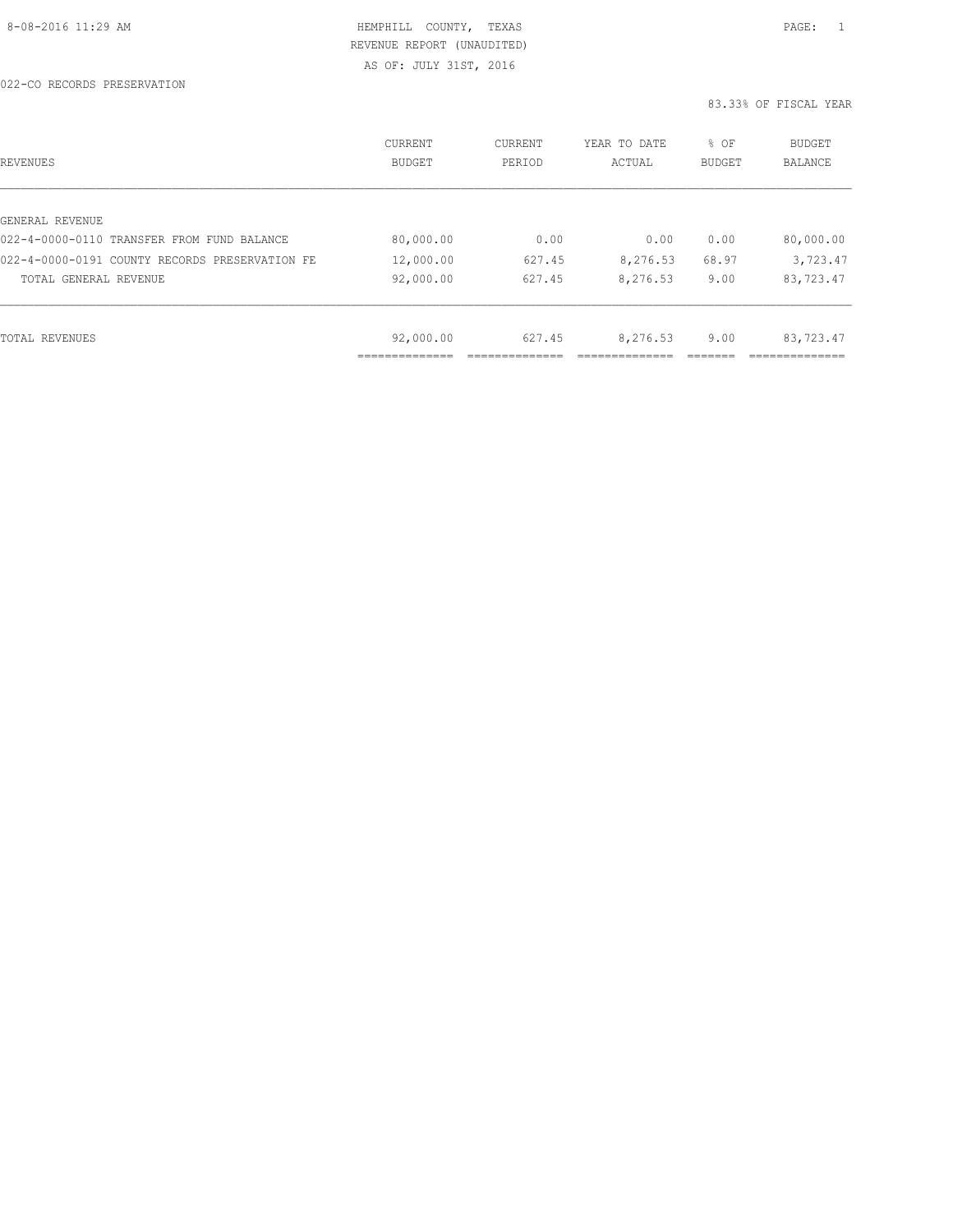022-CO RECORDS PRESERVATION

| REVENUES                                       | <b>CURRENT</b><br><b>BUDGET</b> | CURRENT<br>PERIOD | YEAR TO DATE<br>ACTUAL | % OF<br>BUDGET | BUDGET<br><b>BALANCE</b> |
|------------------------------------------------|---------------------------------|-------------------|------------------------|----------------|--------------------------|
|                                                |                                 |                   |                        |                |                          |
| GENERAL REVENUE                                |                                 |                   |                        |                |                          |
| 022-4-0000-0110 TRANSFER FROM FUND BALANCE     | 80,000.00                       | 0.00              | 0.00                   | 0.00           | 80,000.00                |
| 022-4-0000-0191 COUNTY RECORDS PRESERVATION FE | 12,000.00                       | 627.45            | 8,276.53               | 68.97          | 3,723.47                 |
| TOTAL GENERAL REVENUE                          | 92,000.00                       | 627.45            | 8,276.53               | 9.00           | 83,723.47                |
|                                                |                                 |                   |                        |                |                          |
| TOTAL REVENUES                                 | 92,000.00                       | 627.45            | 8,276.53               | 9.00           | 83,723.47                |
|                                                | -----------                     |                   |                        |                |                          |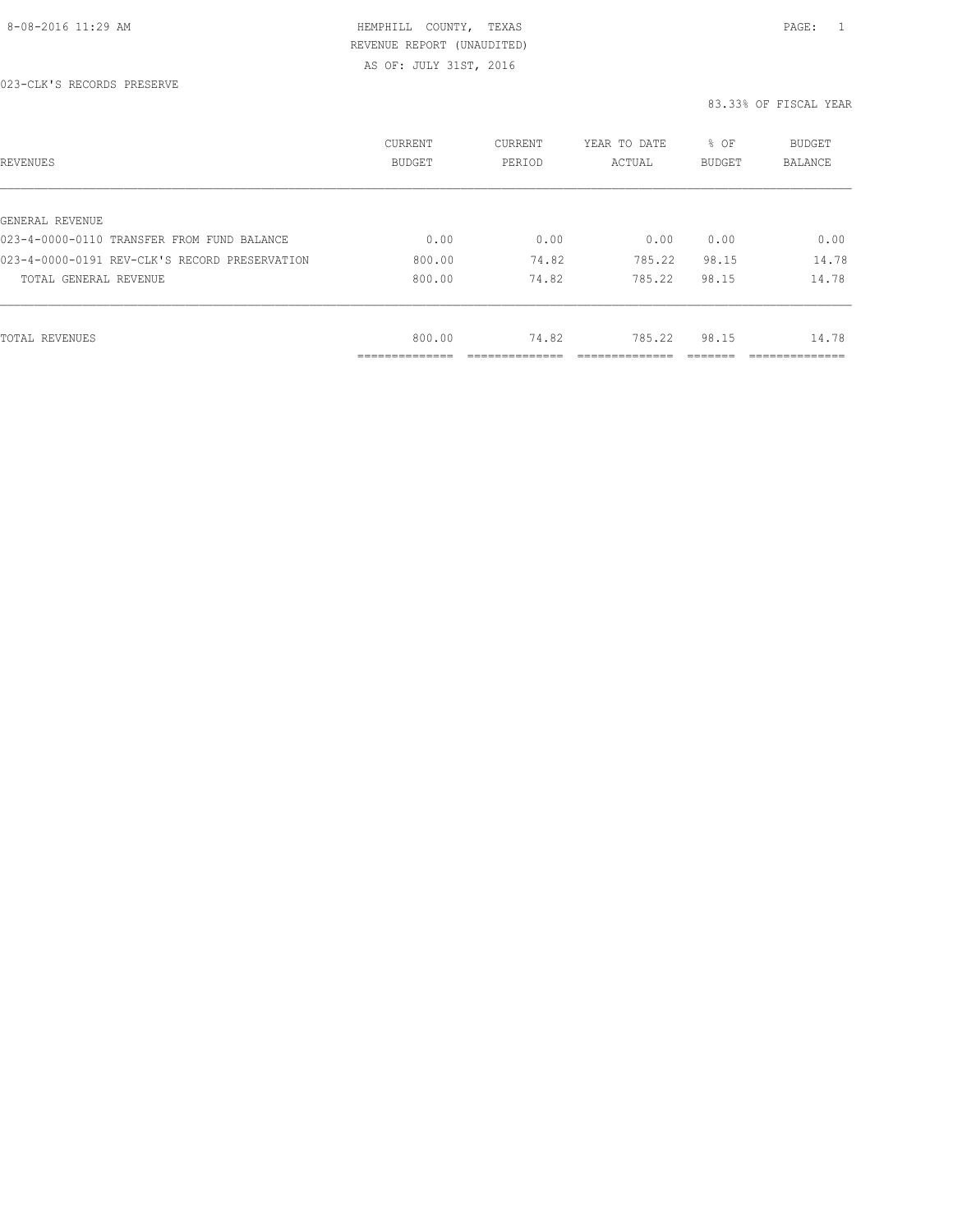AS OF: JULY 31ST, 2016

023-CLK'S RECORDS PRESERVE

| REVENUES                                      | CURRENT<br><b>BUDGET</b>   | CURRENT<br>PERIOD | YEAR TO DATE<br>ACTUAL | % OF<br>BUDGET | BUDGET<br><b>BALANCE</b> |
|-----------------------------------------------|----------------------------|-------------------|------------------------|----------------|--------------------------|
|                                               |                            |                   |                        |                |                          |
| GENERAL REVENUE                               |                            |                   |                        |                |                          |
| 023-4-0000-0110 TRANSFER FROM FUND BALANCE    | 0.00                       | 0.00              | 0.00                   | 0.00           | 0.00                     |
| 023-4-0000-0191 REV-CLK'S RECORD PRESERVATION | 800.00                     | 74.82             | 785.22                 | 98.15          | 14.78                    |
| TOTAL GENERAL REVENUE                         | 800.00                     | 74.82             | 785.22                 | 98.15          | 14.78                    |
|                                               |                            |                   |                        |                |                          |
| TOTAL REVENUES                                | 800.00                     | 74.82             | 785.22                 | 98.15          | 14.78                    |
|                                               | -----------<br>----------- |                   |                        |                | __________               |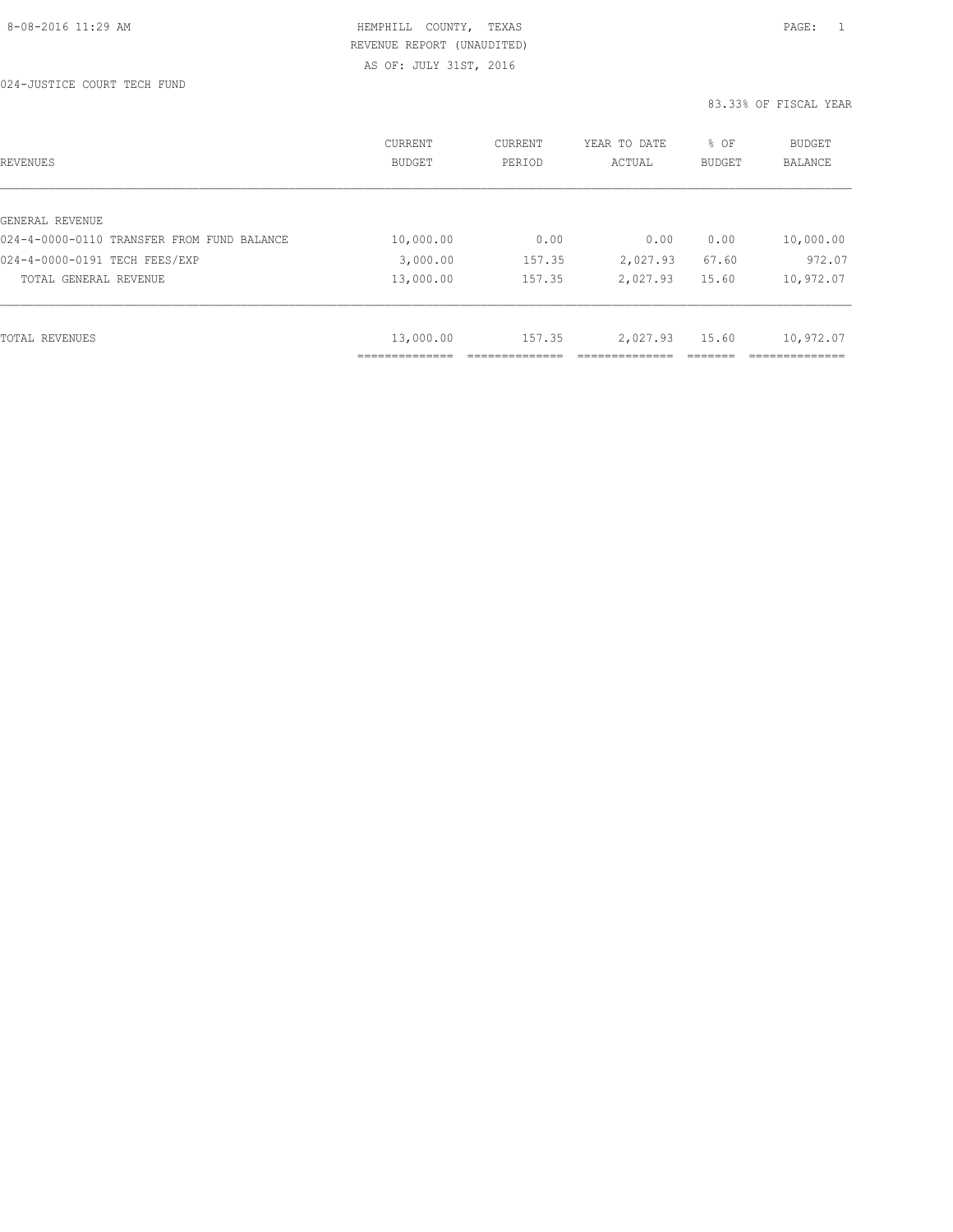AS OF: JULY 31ST, 2016

| REVENUES                                   | CURRENT<br>BUDGET | CURRENT<br>PERIOD | YEAR TO DATE<br>ACTUAL | % OF<br><b>BUDGET</b> | <b>BUDGET</b><br>BALANCE |
|--------------------------------------------|-------------------|-------------------|------------------------|-----------------------|--------------------------|
|                                            |                   |                   |                        |                       |                          |
| GENERAL REVENUE                            |                   |                   |                        |                       |                          |
| 024-4-0000-0110 TRANSFER FROM FUND BALANCE | 10,000.00         | 0.00              | 0.00                   | 0.00                  | 10,000.00                |
| 024-4-0000-0191 TECH FEES/EXP              | 3,000.00          | 157.35            | 2,027.93               | 67.60                 | 972.07                   |
| TOTAL GENERAL REVENUE                      | 13,000.00         | 157.35            | 2,027.93               | 15.60                 | 10,972.07                |
|                                            |                   |                   |                        |                       |                          |
| TOTAL REVENUES                             | 13,000.00         | 157.35            | 2,027.93               | 15.60                 | 10,972.07                |
|                                            |                   |                   |                        |                       |                          |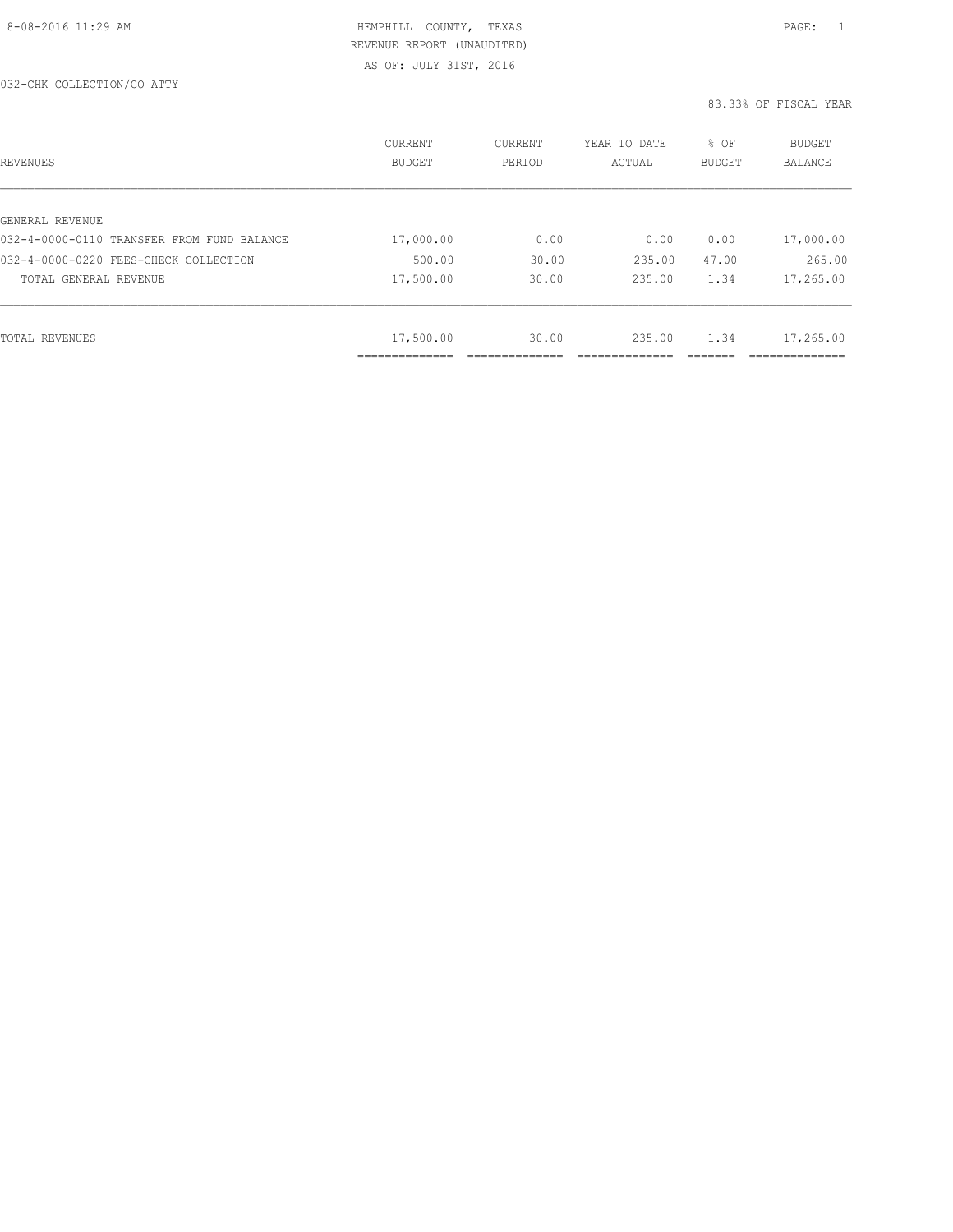| REVENUES                                   | <b>CURRENT</b><br><b>BUDGET</b> | CURRENT<br>PERIOD | YEAR TO DATE<br>ACTUAL | % OF<br>BUDGET | BUDGET<br><b>BALANCE</b> |
|--------------------------------------------|---------------------------------|-------------------|------------------------|----------------|--------------------------|
|                                            |                                 |                   |                        |                |                          |
| GENERAL REVENUE                            |                                 |                   |                        |                |                          |
| 032-4-0000-0110 TRANSFER FROM FUND BALANCE | 17,000.00                       | 0.00              | 0.00                   | 0.00           | 17,000.00                |
| 032-4-0000-0220 FEES-CHECK COLLECTION      | 500.00                          | 30.00             | 235.00                 | 47.00          | 265.00                   |
| TOTAL GENERAL REVENUE                      | 17,500.00                       | 30.00             | 235.00                 | 1.34           | 17,265.00                |
|                                            |                                 |                   |                        |                |                          |
| TOTAL REVENUES                             | 17,500.00                       | 30.00             | 235.00                 | 1.34           | 17,265.00                |
|                                            | ___________                     |                   |                        |                |                          |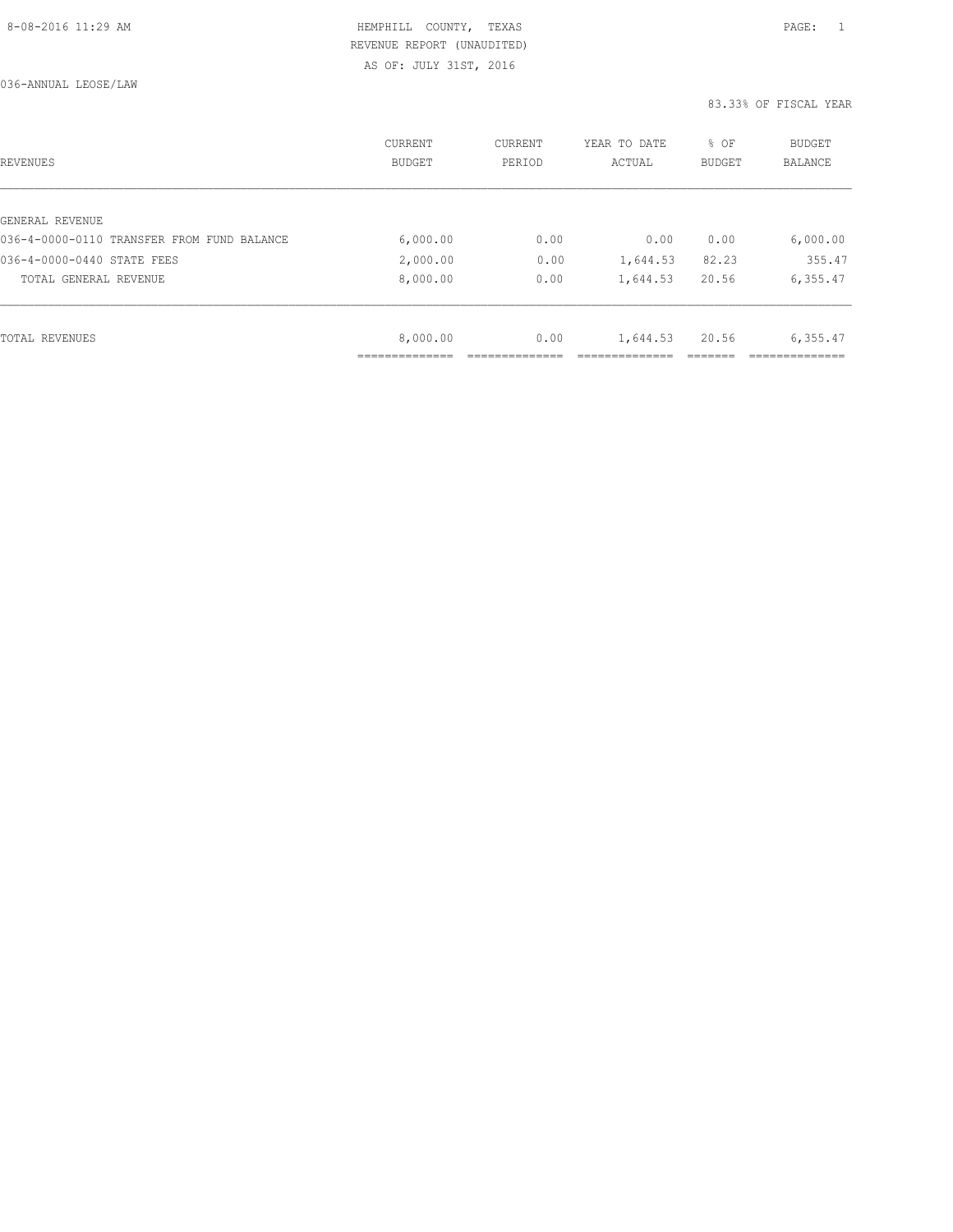AS OF: JULY 31ST, 2016

036-ANNUAL LEOSE/LAW

| REVENUES                                   | CURRENT<br><b>BUDGET</b> | CURRENT<br>PERIOD | YEAR TO DATE<br>ACTUAL | % OF<br>BUDGET | BUDGET<br><b>BALANCE</b> |
|--------------------------------------------|--------------------------|-------------------|------------------------|----------------|--------------------------|
|                                            |                          |                   |                        |                |                          |
| GENERAL REVENUE                            |                          |                   |                        |                |                          |
| 036-4-0000-0110 TRANSFER FROM FUND BALANCE | 6,000.00                 | 0.00              | 0.00                   | 0.00           | 6,000.00                 |
| 036-4-0000-0440 STATE FEES                 | 2,000.00                 | 0.00              | 1,644.53               | 82.23          | 355.47                   |
| TOTAL GENERAL REVENUE                      | 8,000.00                 | 0.00              | 1,644.53               | 20.56          | 6,355.47                 |
|                                            |                          |                   |                        |                |                          |
| TOTAL REVENUES                             | 8,000.00                 | 0.00              | 1,644.53               | 20.56          | 6,355.47                 |
|                                            |                          |                   |                        |                |                          |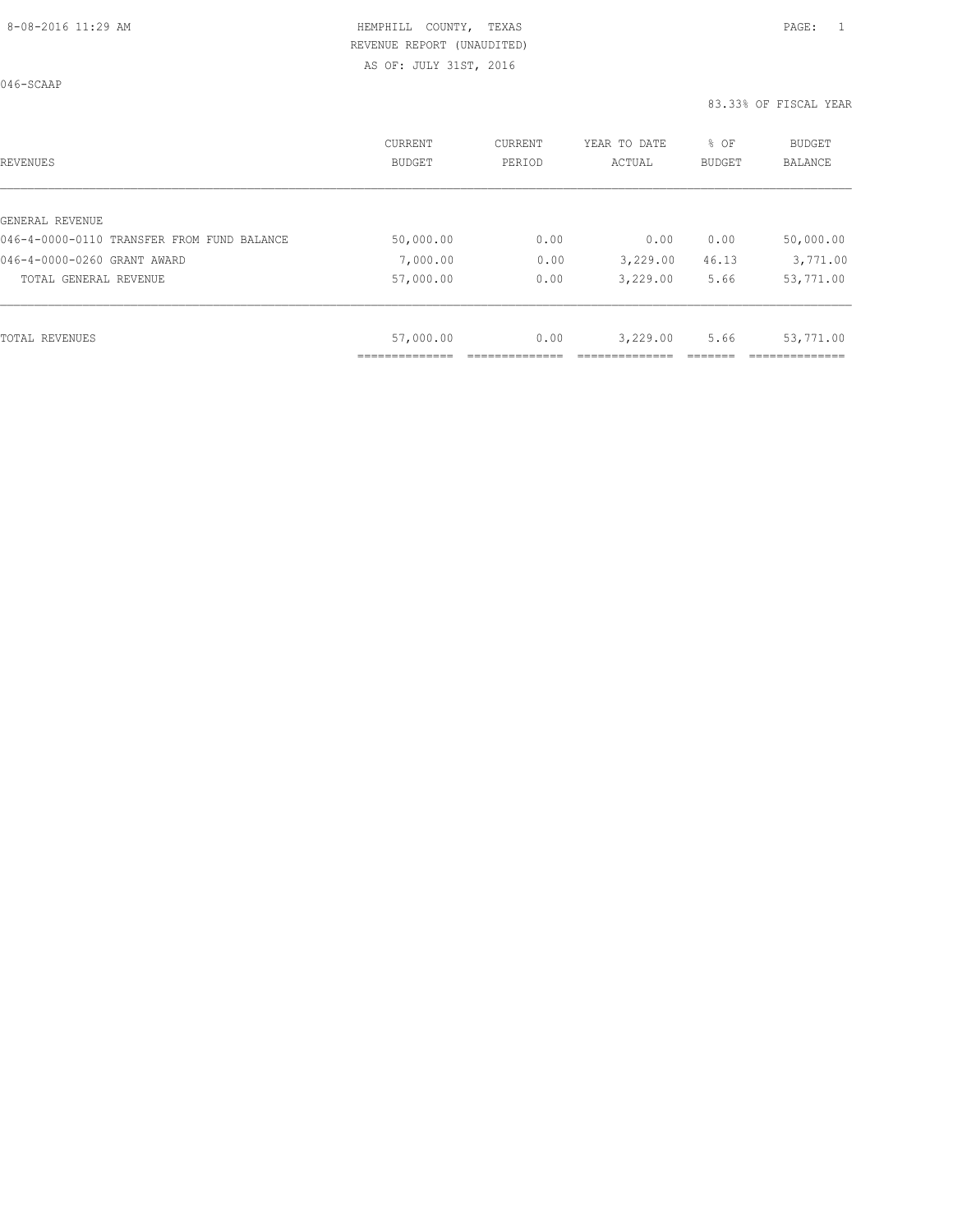AS OF: JULY 31ST, 2016

046-SCAAP

| REVENUES                                   | CURRENT<br>BUDGET | CURRENT<br>PERIOD | YEAR TO DATE<br>ACTUAL | % OF<br><b>BUDGET</b> | <b>BUDGET</b><br>BALANCE |
|--------------------------------------------|-------------------|-------------------|------------------------|-----------------------|--------------------------|
| GENERAL REVENUE                            |                   |                   |                        |                       |                          |
| 046-4-0000-0110 TRANSFER FROM FUND BALANCE | 50,000.00         | 0.00              | 0.00                   | 0.00                  | 50,000.00                |
| 046-4-0000-0260 GRANT AWARD                | 7,000.00          | 0.00              | 3,229.00               | 46.13                 | 3,771.00                 |
| TOTAL GENERAL REVENUE                      | 57,000.00         | 0.00              | 3,229.00               | 5.66                  | 53,771.00                |
|                                            |                   |                   |                        |                       |                          |
| TOTAL REVENUES                             | 57,000.00         | 0.00              | 3,229.00               | 5.66                  | 53,771.00                |
|                                            |                   |                   |                        |                       |                          |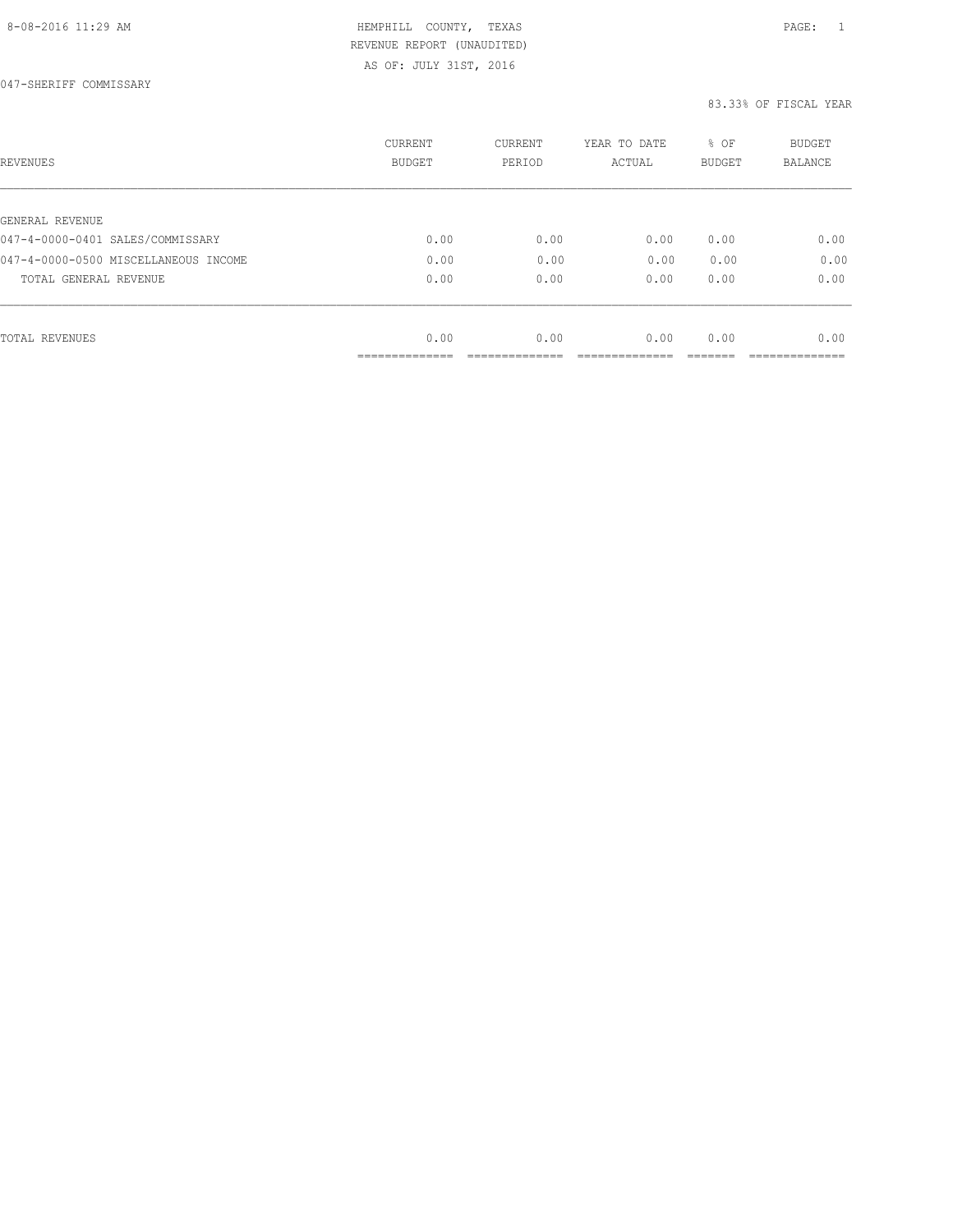AS OF: JULY 31ST, 2016

| REVENUES                             | <b>CURRENT</b><br><b>BUDGET</b> | CURRENT<br>PERIOD | YEAR TO DATE<br>ACTUAL | % OF<br><b>BUDGET</b> | <b>BUDGET</b><br>BALANCE |
|--------------------------------------|---------------------------------|-------------------|------------------------|-----------------------|--------------------------|
| GENERAL REVENUE                      |                                 |                   |                        |                       |                          |
| 047-4-0000-0401 SALES/COMMISSARY     | 0.00                            | 0.00              | 0.00                   | 0.00                  | 0.00                     |
| 047-4-0000-0500 MISCELLANEOUS INCOME | 0.00                            | 0.00              | 0.00                   | 0.00                  | 0.00                     |
| TOTAL GENERAL REVENUE                | 0.00                            | 0.00              | 0.00                   | 0.00                  | 0.00                     |
|                                      |                                 |                   |                        |                       |                          |
| TOTAL REVENUES                       | 0.00                            | 0.00              | 0.00                   | 0.00                  | 0.00                     |
|                                      | ______________                  |                   |                        |                       |                          |